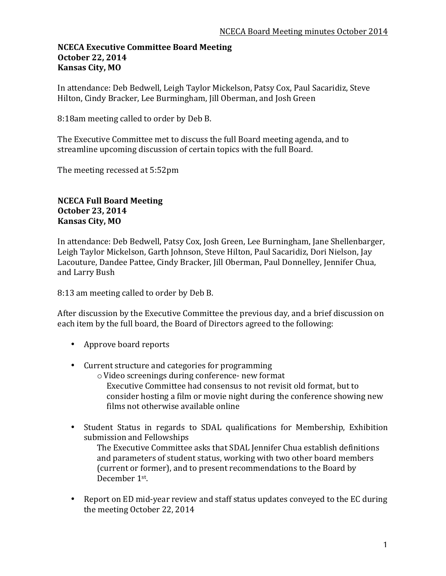#### **NCECA Executive Committee Board Meeting October 22, 2014 Kansas City, MO**

In attendance: Deb Bedwell, Leigh Taylor Mickelson, Patsy Cox, Paul Sacaridiz, Steve Hilton, Cindy Bracker, Lee Burmingham, Jill Oberman, and Josh Green

8:18am meeting called to order by Deb B.

The Executive Committee met to discuss the full Board meeting agenda, and to streamline upcoming discussion of certain topics with the full Board.

The meeting recessed at 5:52pm

# **NCECA Full Board Meeting October 23, 2014 Kansas City, MO**

In attendance: Deb Bedwell, Patsy Cox, Josh Green, Lee Burningham, Jane Shellenbarger, Leigh Taylor Mickelson, Garth Johnson, Steve Hilton, Paul Sacaridiz, Dori Nielson, Jay Lacouture, Dandee Pattee, Cindy Bracker, Jill Oberman, Paul Donnelley, Jennifer Chua, and Larry Bush

8:13 am meeting called to order by Deb B.

After discussion by the Executive Committee the previous day, and a brief discussion on each item by the full board, the Board of Directors agreed to the following:

- Approve board reports
- Current structure and categories for programming
	- $\circ$  Video screenings during conference- new format Executive Committee had consensus to not revisit old format, but to consider hosting a film or movie night during the conference showing new films not otherwise available online
- Student Status in regards to SDAL qualifications for Membership, Exhibition submission and Fellowships

The Executive Committee asks that SDAL Jennifer Chua establish definitions and parameters of student status, working with two other board members (current or former), and to present recommendations to the Board by December 1st.

• Report on ED mid-year review and staff status updates conveyed to the EC during the meeting October 22, 2014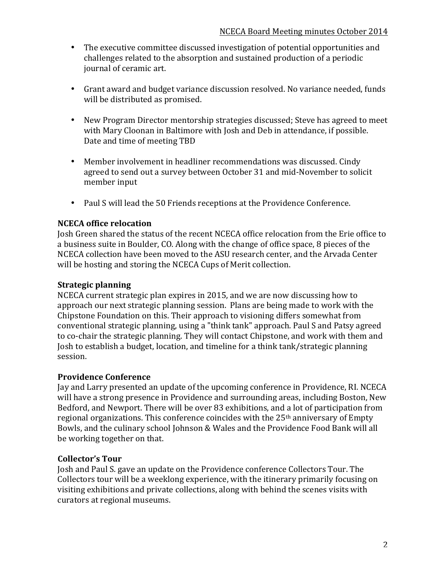- The executive committee discussed investigation of potential opportunities and challenges related to the absorption and sustained production of a periodic journal of ceramic art.
- Grant award and budget variance discussion resolved. No variance needed, funds will be distributed as promised.
- New Program Director mentorship strategies discussed; Steve has agreed to meet with Mary Cloonan in Baltimore with Josh and Deb in attendance, if possible. Date and time of meeting TBD
- Member involvement in headliner recommendations was discussed. Cindy agreed to send out a survey between October 31 and mid-November to solicit member input
- Paul S will lead the 50 Friends receptions at the Providence Conference.

# **NCECA office relocation**

Josh Green shared the status of the recent NCECA office relocation from the Erie office to a business suite in Boulder, CO. Along with the change of office space, 8 pieces of the NCECA collection have been moved to the ASU research center, and the Arvada Center will be hosting and storing the NCECA Cups of Merit collection.

### **Strategic planning**

NCECA current strategic plan expires in 2015, and we are now discussing how to approach our next strategic planning session. Plans are being made to work with the Chipstone Foundation on this. Their approach to visioning differs somewhat from conventional strategic planning, using a "think tank" approach. Paul S and Patsy agreed to co-chair the strategic planning. They will contact Chipstone, and work with them and Josh to establish a budget, location, and timeline for a think tank/strategic planning session.

### **Providence Conference**

Jay and Larry presented an update of the upcoming conference in Providence, RI. NCECA will have a strong presence in Providence and surrounding areas, including Boston, New Bedford, and Newport. There will be over 83 exhibitions, and a lot of participation from regional organizations. This conference coincides with the  $25<sup>th</sup>$  anniversary of Empty Bowls, and the culinary school Johnson & Wales and the Providence Food Bank will all be working together on that.

### **Collector's Tour**

Josh and Paul S. gave an update on the Providence conference Collectors Tour. The Collectors tour will be a weeklong experience, with the itinerary primarily focusing on visiting exhibitions and private collections, along with behind the scenes visits with curators at regional museums.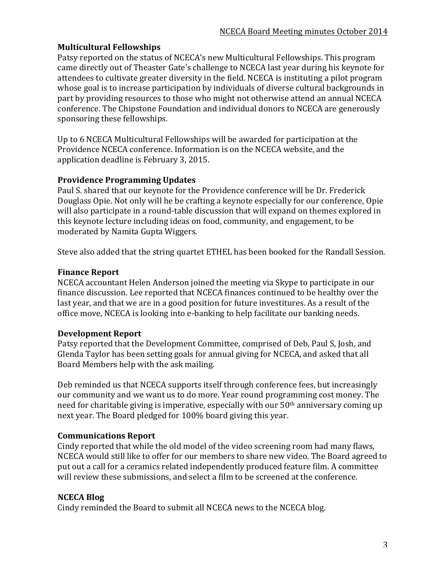# **Multicultural Fellowships**

Patsy reported on the status of NCECA's new Multicultural Fellowships. This program came directly out of Theaster Gate's challenge to NCECA last year during his keynote for attendees to cultivate greater diversity in the field. NCECA is instituting a pilot program whose goal is to increase participation by individuals of diverse cultural backgrounds in part by providing resources to those who might not otherwise attend an annual NCECA conference. The Chipstone Foundation and individual donors to NCECA are generously sponsoring these fellowships.

Up to 6 NCECA Multicultural Fellowships will be awarded for participation at the Providence NCECA conference. Information is on the NCECA website, and the application deadline is February 3, 2015.

### **Providence Programming Updates**

Paul S. shared that our keynote for the Providence conference will be Dr. Frederick Douglass Opie. Not only will he be crafting a keynote especially for our conference, Opie will also participate in a round-table discussion that will expand on themes explored in this keynote lecture including ideas on food, community, and engagement, to be moderated by Namita Gupta Wiggers.

Steve also added that the string quartet ETHEL has been booked for the Randall Session.

# **Finance Report**

NCECA accountant Helen Anderson joined the meeting via Skype to participate in our finance discussion. Lee reported that NCECA finances continued to be healthy over the last year, and that we are in a good position for future investitures. As a result of the office move, NCECA is looking into e-banking to help facilitate our banking needs.

# **Development Report**

Patsy reported that the Development Committee, comprised of Deb, Paul S, Josh, and Glenda Taylor has been setting goals for annual giving for NCECA, and asked that all Board Members help with the ask mailing.

Deb reminded us that NCECA supports itself through conference fees, but increasingly our community and we want us to do more. Year round programming cost money. The need for charitable giving is imperative, especially with our  $50<sup>th</sup>$  anniversary coming up next year. The Board pledged for 100% board giving this year.

# **Communications Report**

Cindy reported that while the old model of the video screening room had many flaws, NCECA would still like to offer for our members to share new video. The Board agreed to put out a call for a ceramics related independently produced feature film. A committee will review these submissions, and select a film to be screened at the conference.

### **NCECA Blog**

Cindy reminded the Board to submit all NCECA news to the NCECA blog.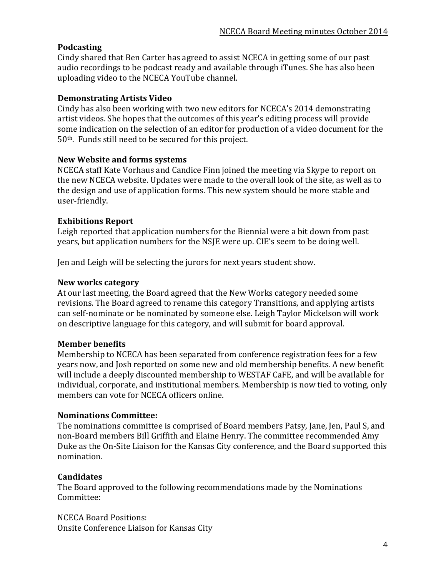# **Podcasting**

Cindy shared that Ben Carter has agreed to assist NCECA in getting some of our past audio recordings to be podcast ready and available through iTunes. She has also been uploading video to the NCECA YouTube channel.

### **Demonstrating Artists Video**

Cindy has also been working with two new editors for NCECA's 2014 demonstrating artist videos. She hopes that the outcomes of this year's editing process will provide some indication on the selection of an editor for production of a video document for the  $50<sup>th</sup>$ . Funds still need to be secured for this project.

#### **New Website and forms systems**

NCECA staff Kate Vorhaus and Candice Finn joined the meeting via Skype to report on the new NCECA website. Updates were made to the overall look of the site, as well as to the design and use of application forms. This new system should be more stable and user-friendly.

### **Exhibitions Report**

Leigh reported that application numbers for the Biennial were a bit down from past years, but application numbers for the NSIE were up. CIE's seem to be doing well.

Jen and Leigh will be selecting the jurors for next years student show.

#### **New works category**

At our last meeting, the Board agreed that the New Works category needed some revisions. The Board agreed to rename this category Transitions, and applying artists can self-nominate or be nominated by someone else. Leigh Taylor Mickelson will work on descriptive language for this category, and will submit for board approval.

### **Member benefits**

Membership to NCECA has been separated from conference registration fees for a few years now, and Josh reported on some new and old membership benefits. A new benefit will include a deeply discounted membership to WESTAF CaFE, and will be available for individual, corporate, and institutional members. Membership is now tied to voting, only members can vote for NCECA officers online.

#### **Nominations Committee:**

The nominations committee is comprised of Board members Patsy, Jane, Jen, Paul S, and non-Board members Bill Griffith and Elaine Henry. The committee recommended Amy Duke as the On-Site Liaison for the Kansas City conference, and the Board supported this nomination.

### **Candidates**

The Board approved to the following recommendations made by the Nominations Committee:

**NCECA Board Positions:** Onsite Conference Liaison for Kansas City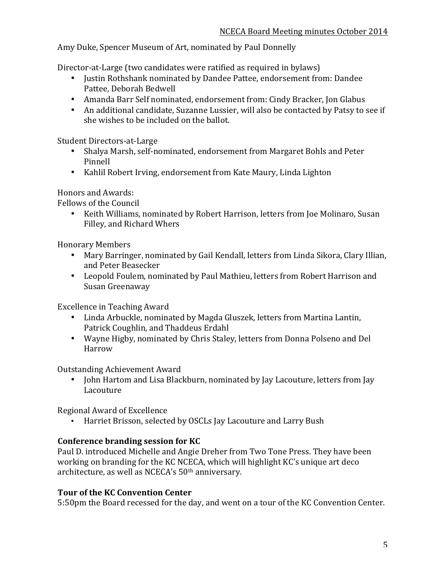Amy Duke, Spencer Museum of Art, nominated by Paul Donnelly

Director-at-Large (two candidates were ratified as required in bylaws)

- Justin Rothshank nominated by Dandee Pattee, endorsement from: Dandee Pattee, Deborah Bedwell
- Amanda Barr Self nominated, endorsement from: Cindy Bracker, Jon Glabus
- An additional candidate, Suzanne Lussier, will also be contacted by Patsy to see if she wishes to be included on the ballot.

Student Directors-at-Large

- Shalya Marsh, self-nominated, endorsement from Margaret Bohls and Peter Pinnell
- Kahlil Robert Irving, endorsement from Kate Maury, Linda Lighton

Honors and Awards:

Fellows of the Council

• Keith Williams, nominated by Robert Harrison, letters from Joe Molinaro, Susan Filley, and Richard Whers

Honorary Members

- Mary Barringer, nominated by Gail Kendall, letters from Linda Sikora, Clary Illian, and Peter Beasecker
- Leopold Foulem, nominated by Paul Mathieu, letters from Robert Harrison and Susan Greenaway

Excellence in Teaching Award

- Linda Arbuckle, nominated by Magda Gluszek, letters from Martina Lantin, Patrick Coughlin, and Thaddeus Erdahl
- Wayne Higby, nominated by Chris Staley, letters from Donna Polseno and Del Harrow

Outstanding Achievement Award

• John Hartom and Lisa Blackburn, nominated by Jay Lacouture, letters from Jay Lacouture

Regional Award of Excellence

• Harriet Brisson, selected by OSCLs Jay Lacouture and Larry Bush

# **Conference branding session for KC**

Paul D. introduced Michelle and Angie Dreher from Two Tone Press. They have been working on branding for the KC NCECA, which will highlight KC's unique art deco architecture, as well as NCECA's 50<sup>th</sup> anniversary.

# **Tour of the KC Convention Center**

5:50pm the Board recessed for the day, and went on a tour of the KC Convention Center.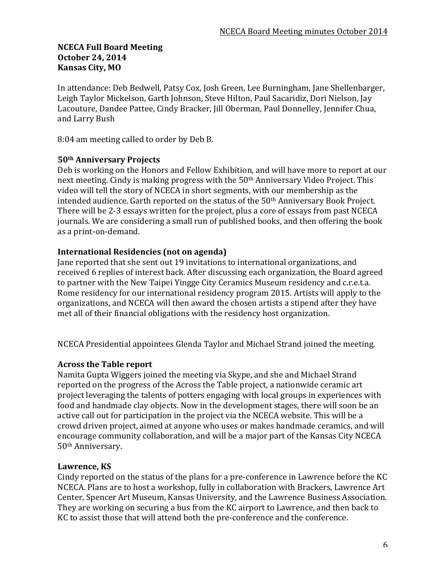### **NCECA Full Board Meeting October 24, 2014 Kansas City, MO**

In attendance: Deb Bedwell, Patsy Cox, Josh Green, Lee Burningham, Jane Shellenbarger, Leigh Taylor Mickelson, Garth Johnson, Steve Hilton, Paul Sacaridiz, Dori Nielson, Jay Lacouture, Dandee Pattee, Cindy Bracker, Jill Oberman, Paul Donnelley, Jennifer Chua, and Larry Bush

8:04 am meeting called to order by Deb B.

### **50th Anniversary Projects**

Deb is working on the Honors and Fellow Exhibition, and will have more to report at our next meeting. Cindy is making progress with the  $50<sup>th</sup>$  Anniversary Video Project. This video will tell the story of NCECA in short segments, with our membership as the intended audience. Garth reported on the status of the 50<sup>th</sup> Anniversary Book Project. There will be 2-3 essays written for the project, plus a core of essays from past NCECA journals. We are considering a small run of published books, and then offering the book as a print-on-demand.

### **International Residencies (not on agenda)**

Jane reported that she sent out 19 invitations to international organizations, and received 6 replies of interest back. After discussing each organization, the Board agreed to partner with the New Taipei Yingge City Ceramics Museum residency and c.r.e.t.a. Rome residency for our international residency program 2015. Artists will apply to the organizations, and NCECA will then award the chosen artists a stipend after they have met all of their financial obligations with the residency host organization.

NCECA Presidential appointees Glenda Taylor and Michael Strand joined the meeting.

### **Across the Table report**

Namita Gupta Wiggers joined the meeting via Skype, and she and Michael Strand reported on the progress of the Across the Table project, a nationwide ceramic art project leveraging the talents of potters engaging with local groups in experiences with food and handmade clay objects. Now in the development stages, there will soon be an active call out for participation in the project via the NCECA website. This will be a crowd driven project, aimed at anyone who uses or makes handmade ceramics, and will encourage community collaboration, and will be a major part of the Kansas City NCECA 50th Anniversary.

### Lawrence, KS

Cindy reported on the status of the plans for a pre-conference in Lawrence before the KC NCECA. Plans are to host a workshop, fully in collaboration with Brackers, Lawrence Art Center, Spencer Art Museum, Kansas University, and the Lawrence Business Association. They are working on securing a bus from the KC airport to Lawrence, and then back to KC to assist those that will attend both the pre-conference and the conference.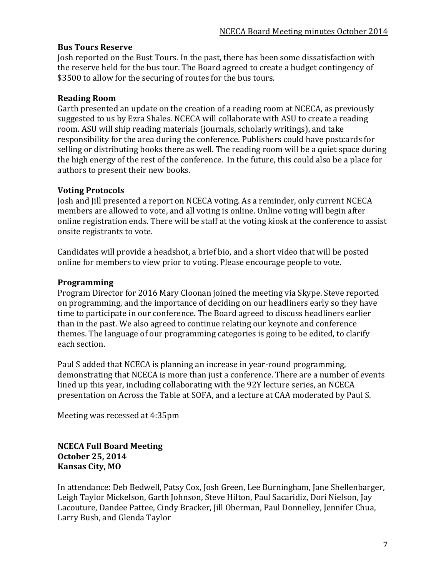### **Bus Tours Reserve**

Josh reported on the Bust Tours. In the past, there has been some dissatisfaction with the reserve held for the bus tour. The Board agreed to create a budget contingency of \$3500 to allow for the securing of routes for the bus tours.

# **Reading Room**

Garth presented an update on the creation of a reading room at NCECA, as previously suggested to us by Ezra Shales. NCECA will collaborate with ASU to create a reading room. ASU will ship reading materials (journals, scholarly writings), and take responsibility for the area during the conference. Publishers could have postcards for selling or distributing books there as well. The reading room will be a quiet space during the high energy of the rest of the conference. In the future, this could also be a place for authors to present their new books.

# **Voting Protocols**

Josh and Jill presented a report on NCECA voting. As a reminder, only current NCECA members are allowed to vote, and all voting is online. Online voting will begin after online registration ends. There will be staff at the voting kiosk at the conference to assist onsite registrants to vote.

Candidates will provide a headshot, a brief bio, and a short video that will be posted online for members to view prior to voting. Please encourage people to vote.

# **Programming**

Program Director for 2016 Mary Cloonan joined the meeting via Skype. Steve reported on programming, and the importance of deciding on our headliners early so they have time to participate in our conference. The Board agreed to discuss headliners earlier than in the past. We also agreed to continue relating our keynote and conference themes. The language of our programming categories is going to be edited, to clarify each section.

Paul S added that NCECA is planning an increase in year-round programming, demonstrating that NCECA is more than just a conference. There are a number of events lined up this year, including collaborating with the 92Y lecture series, an NCECA presentation on Across the Table at SOFA, and a lecture at CAA moderated by Paul S.

Meeting was recessed at 4:35pm

# **NCECA Full Board Meeting October 25, 2014 Kansas City, MO**

In attendance: Deb Bedwell, Patsy Cox, Josh Green, Lee Burningham, Jane Shellenbarger, Leigh Taylor Mickelson, Garth Johnson, Steve Hilton, Paul Sacaridiz, Dori Nielson, Jay Lacouture, Dandee Pattee, Cindy Bracker, Jill Oberman, Paul Donnelley, Jennifer Chua, Larry Bush, and Glenda Taylor